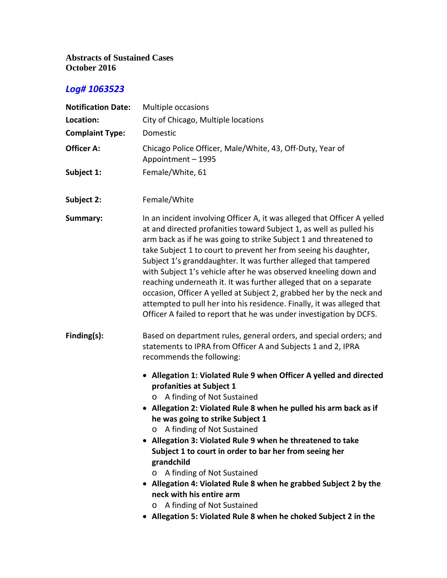### **Abstracts of Sustained Cases October 2016**

| <b>Notification Date:</b> | Multiple occasions                                                                                                                                                                                                                                                                                                                                                                                                                                                                                                                                                                                                                                                                                                            |
|---------------------------|-------------------------------------------------------------------------------------------------------------------------------------------------------------------------------------------------------------------------------------------------------------------------------------------------------------------------------------------------------------------------------------------------------------------------------------------------------------------------------------------------------------------------------------------------------------------------------------------------------------------------------------------------------------------------------------------------------------------------------|
| Location:                 | City of Chicago, Multiple locations                                                                                                                                                                                                                                                                                                                                                                                                                                                                                                                                                                                                                                                                                           |
| <b>Complaint Type:</b>    | Domestic                                                                                                                                                                                                                                                                                                                                                                                                                                                                                                                                                                                                                                                                                                                      |
| <b>Officer A:</b>         | Chicago Police Officer, Male/White, 43, Off-Duty, Year of<br>Appointment - 1995                                                                                                                                                                                                                                                                                                                                                                                                                                                                                                                                                                                                                                               |
| Subject 1:                | Female/White, 61                                                                                                                                                                                                                                                                                                                                                                                                                                                                                                                                                                                                                                                                                                              |
| Subject 2:                | Female/White                                                                                                                                                                                                                                                                                                                                                                                                                                                                                                                                                                                                                                                                                                                  |
| Summary:                  | In an incident involving Officer A, it was alleged that Officer A yelled<br>at and directed profanities toward Subject 1, as well as pulled his<br>arm back as if he was going to strike Subject 1 and threatened to<br>take Subject 1 to court to prevent her from seeing his daughter,<br>Subject 1's granddaughter. It was further alleged that tampered<br>with Subject 1's vehicle after he was observed kneeling down and<br>reaching underneath it. It was further alleged that on a separate<br>occasion, Officer A yelled at Subject 2, grabbed her by the neck and<br>attempted to pull her into his residence. Finally, it was alleged that<br>Officer A failed to report that he was under investigation by DCFS. |
| Finding(s):               | Based on department rules, general orders, and special orders; and<br>statements to IPRA from Officer A and Subjects 1 and 2, IPRA<br>recommends the following:                                                                                                                                                                                                                                                                                                                                                                                                                                                                                                                                                               |
|                           | • Allegation 1: Violated Rule 9 when Officer A yelled and directed<br>profanities at Subject 1<br>A finding of Not Sustained<br>• Allegation 2: Violated Rule 8 when he pulled his arm back as if<br>he was going to strike Subject 1<br>o A finding of Not Sustained<br>• Allegation 3: Violated Rule 9 when he threatened to take<br>Subject 1 to court in order to bar her from seeing her<br>grandchild<br>A finding of Not Sustained<br>$\circ$<br>• Allegation 4: Violated Rule 8 when he grabbed Subject 2 by the<br>neck with his entire arm<br>A finding of Not Sustained<br>$\circ$<br>• Allegation 5: Violated Rule 8 when he choked Subject 2 in the                                                              |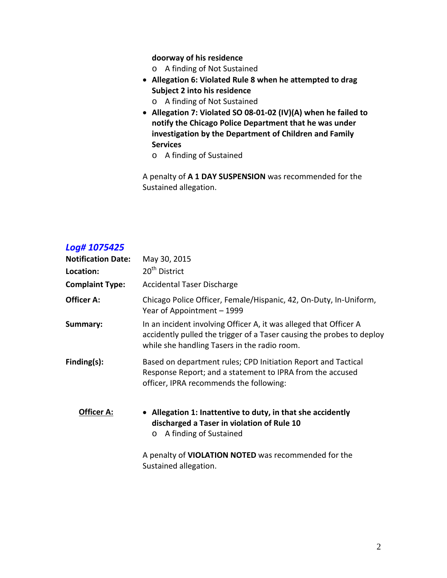**doorway of his residence**

- o A finding of Not Sustained
- **Allegation 6: Violated Rule 8 when he attempted to drag Subject 2 into his residence**
	- o A finding of Not Sustained
- **Allegation 7: Violated SO 08-01-02 (IV)(A) when he failed to notify the Chicago Police Department that he was under investigation by the Department of Children and Family Services**
	- o A finding of Sustained

A penalty of **A 1 DAY SUSPENSION** was recommended for the Sustained allegation.

### *Log# 1075425*

| <b>Notification Date:</b> | May 30, 2015                                                                                                                                                                               |
|---------------------------|--------------------------------------------------------------------------------------------------------------------------------------------------------------------------------------------|
| Location:                 | 20 <sup>th</sup> District                                                                                                                                                                  |
| <b>Complaint Type:</b>    | <b>Accidental Taser Discharge</b>                                                                                                                                                          |
| <b>Officer A:</b>         | Chicago Police Officer, Female/Hispanic, 42, On-Duty, In-Uniform,<br>Year of Appointment - 1999                                                                                            |
| Summary:                  | In an incident involving Officer A, it was alleged that Officer A<br>accidently pulled the trigger of a Taser causing the probes to deploy<br>while she handling Tasers in the radio room. |
| Finding(s):               | Based on department rules; CPD Initiation Report and Tactical<br>Response Report; and a statement to IPRA from the accused<br>officer, IPRA recommends the following:                      |
| Officer A:                | • Allegation 1: Inattentive to duty, in that she accidently<br>discharged a Taser in violation of Rule 10<br>A finding of Sustained<br>$\circ$                                             |
|                           | A penalty of <b>VIOLATION NOTED</b> was recommended for the                                                                                                                                |

Sustained allegation.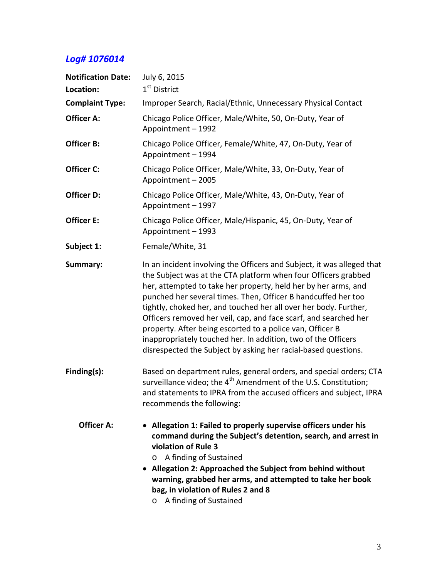| <b>Notification Date:</b> | July 6, 2015                                                                                                                                                                                                                                                                                                                                                                                                                                                                                                                                                                                                        |
|---------------------------|---------------------------------------------------------------------------------------------------------------------------------------------------------------------------------------------------------------------------------------------------------------------------------------------------------------------------------------------------------------------------------------------------------------------------------------------------------------------------------------------------------------------------------------------------------------------------------------------------------------------|
| Location:                 | 1 <sup>st</sup> District                                                                                                                                                                                                                                                                                                                                                                                                                                                                                                                                                                                            |
| <b>Complaint Type:</b>    | Improper Search, Racial/Ethnic, Unnecessary Physical Contact                                                                                                                                                                                                                                                                                                                                                                                                                                                                                                                                                        |
| Officer A:                | Chicago Police Officer, Male/White, 50, On-Duty, Year of<br>Appointment - 1992                                                                                                                                                                                                                                                                                                                                                                                                                                                                                                                                      |
| Officer B:                | Chicago Police Officer, Female/White, 47, On-Duty, Year of<br>Appointment - 1994                                                                                                                                                                                                                                                                                                                                                                                                                                                                                                                                    |
| Officer C:                | Chicago Police Officer, Male/White, 33, On-Duty, Year of<br>Appointment - 2005                                                                                                                                                                                                                                                                                                                                                                                                                                                                                                                                      |
| Officer D:                | Chicago Police Officer, Male/White, 43, On-Duty, Year of<br>Appointment - 1997                                                                                                                                                                                                                                                                                                                                                                                                                                                                                                                                      |
| Officer E:                | Chicago Police Officer, Male/Hispanic, 45, On-Duty, Year of<br>Appointment - 1993                                                                                                                                                                                                                                                                                                                                                                                                                                                                                                                                   |
| Subject 1:                | Female/White, 31                                                                                                                                                                                                                                                                                                                                                                                                                                                                                                                                                                                                    |
| Summary:                  | In an incident involving the Officers and Subject, it was alleged that<br>the Subject was at the CTA platform when four Officers grabbed<br>her, attempted to take her property, held her by her arms, and<br>punched her several times. Then, Officer B handcuffed her too<br>tightly, choked her, and touched her all over her body. Further,<br>Officers removed her veil, cap, and face scarf, and searched her<br>property. After being escorted to a police van, Officer B<br>inappropriately touched her. In addition, two of the Officers<br>disrespected the Subject by asking her racial-based questions. |
| Finding(s):               | Based on department rules, general orders, and special orders; CTA<br>surveillance video; the 4 <sup>th</sup> Amendment of the U.S. Constitution;<br>and statements to IPRA from the accused officers and subject, IPRA<br>recommends the following:                                                                                                                                                                                                                                                                                                                                                                |
| <b>Officer A:</b>         | • Allegation 1: Failed to properly supervise officers under his<br>command during the Subject's detention, search, and arrest in<br>violation of Rule 3<br>A finding of Sustained<br>$\circ$<br>• Allegation 2: Approached the Subject from behind without<br>warning, grabbed her arms, and attempted to take her book<br>bag, in violation of Rules 2 and 8<br>A finding of Sustained<br>O                                                                                                                                                                                                                        |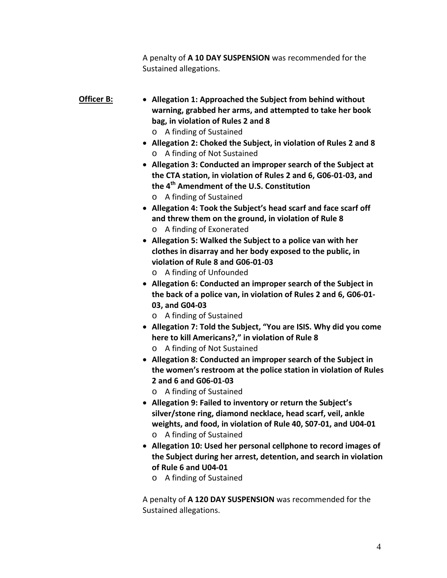A penalty of **A 10 DAY SUSPENSION** was recommended for the Sustained allegations.

### **Officer B: Allegation 1: Approached the Subject from behind without warning, grabbed her arms, and attempted to take her book bag, in violation of Rules 2 and 8**

- o A finding of Sustained
- **Allegation 2: Choked the Subject, in violation of Rules 2 and 8** o A finding of Not Sustained
- **Allegation 3: Conducted an improper search of the Subject at the CTA station, in violation of Rules 2 and 6, G06-01-03, and the 4th Amendment of the U.S. Constitution**
	- o A finding of Sustained
- **Allegation 4: Took the Subject's head scarf and face scarf off and threw them on the ground, in violation of Rule 8** o A finding of Exonerated
- **Allegation 5: Walked the Subject to a police van with her clothes in disarray and her body exposed to the public, in violation of Rule 8 and G06-01-03**
	- o A finding of Unfounded
- **Allegation 6: Conducted an improper search of the Subject in the back of a police van, in violation of Rules 2 and 6, G06-01- 03, and G04-03**
	- o A finding of Sustained
- **Allegation 7: Told the Subject, "You are ISIS. Why did you come here to kill Americans?," in violation of Rule 8**
	- o A finding of Not Sustained
- **Allegation 8: Conducted an improper search of the Subject in the women's restroom at the police station in violation of Rules 2 and 6 and G06-01-03**
	- o A finding of Sustained
- **Allegation 9: Failed to inventory or return the Subject's silver/stone ring, diamond necklace, head scarf, veil, ankle weights, and food, in violation of Rule 40, S07-01, and U04-01** o A finding of Sustained
- **Allegation 10: Used her personal cellphone to record images of the Subject during her arrest, detention, and search in violation of Rule 6 and U04-01**
	- o A finding of Sustained

A penalty of **A 120 DAY SUSPENSION** was recommended for the Sustained allegations.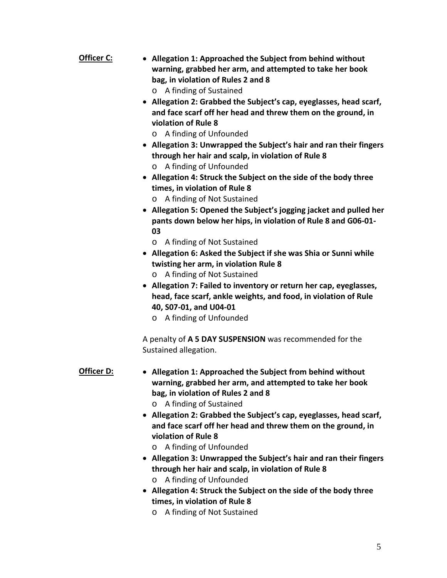- **Officer C: Allegation 1: Approached the Subject from behind without warning, grabbed her arm, and attempted to take her book bag, in violation of Rules 2 and 8**
	- o A finding of Sustained
	- **Allegation 2: Grabbed the Subject's cap, eyeglasses, head scarf, and face scarf off her head and threw them on the ground, in violation of Rule 8**
		- o A finding of Unfounded
	- **Allegation 3: Unwrapped the Subject's hair and ran their fingers through her hair and scalp, in violation of Rule 8** o A finding of Unfounded
	- **Allegation 4: Struck the Subject on the side of the body three times, in violation of Rule 8**
		- o A finding of Not Sustained
	- **Allegation 5: Opened the Subject's jogging jacket and pulled her pants down below her hips, in violation of Rule 8 and G06-01- 03**
		- o A finding of Not Sustained
	- **Allegation 6: Asked the Subject if she was Shia or Sunni while twisting her arm, in violation Rule 8**
		- o A finding of Not Sustained
	- **Allegation 7: Failed to inventory or return her cap, eyeglasses, head, face scarf, ankle weights, and food, in violation of Rule 40, S07-01, and U04-01**
		- o A finding of Unfounded

A penalty of **A 5 DAY SUSPENSION** was recommended for the Sustained allegation.

#### **Officer D: Allegation 1: Approached the Subject from behind without warning, grabbed her arm, and attempted to take her book bag, in violation of Rules 2 and 8**

- o A finding of Sustained
- **Allegation 2: Grabbed the Subject's cap, eyeglasses, head scarf, and face scarf off her head and threw them on the ground, in violation of Rule 8**
	- o A finding of Unfounded
- **Allegation 3: Unwrapped the Subject's hair and ran their fingers through her hair and scalp, in violation of Rule 8** o A finding of Unfounded
- **Allegation 4: Struck the Subject on the side of the body three times, in violation of Rule 8**
	- o A finding of Not Sustained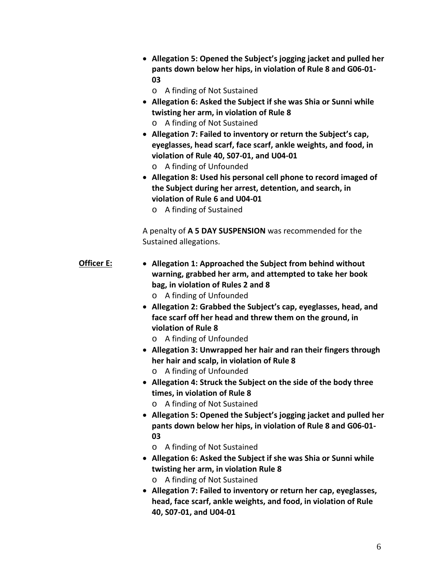- **Allegation 5: Opened the Subject's jogging jacket and pulled her pants down below her hips, in violation of Rule 8 and G06-01- 03**
	- o A finding of Not Sustained
- **Allegation 6: Asked the Subject if she was Shia or Sunni while twisting her arm, in violation of Rule 8** o A finding of Not Sustained
- **Allegation 7: Failed to inventory or return the Subject's cap, eyeglasses, head scarf, face scarf, ankle weights, and food, in violation of Rule 40, S07-01, and U04-01** o A finding of Unfounded
- **Allegation 8: Used his personal cell phone to record imaged of the Subject during her arrest, detention, and search, in violation of Rule 6 and U04-01**
	- o A finding of Sustained

A penalty of **A 5 DAY SUSPENSION** was recommended for the Sustained allegations.

- **Officer E: Allegation 1: Approached the Subject from behind without warning, grabbed her arm, and attempted to take her book bag, in violation of Rules 2 and 8** o A finding of Unfounded
	- **Allegation 2: Grabbed the Subject's cap, eyeglasses, head, and face scarf off her head and threw them on the ground, in violation of Rule 8**
		- o A finding of Unfounded
	- **Allegation 3: Unwrapped her hair and ran their fingers through her hair and scalp, in violation of Rule 8**
		- o A finding of Unfounded
	- **Allegation 4: Struck the Subject on the side of the body three times, in violation of Rule 8**
		- o A finding of Not Sustained
	- **Allegation 5: Opened the Subject's jogging jacket and pulled her pants down below her hips, in violation of Rule 8 and G06-01- 03**
		- o A finding of Not Sustained
	- **Allegation 6: Asked the Subject if she was Shia or Sunni while twisting her arm, in violation Rule 8**
	- o A finding of Not Sustained
	- **Allegation 7: Failed to inventory or return her cap, eyeglasses, head, face scarf, ankle weights, and food, in violation of Rule 40, S07-01, and U04-01**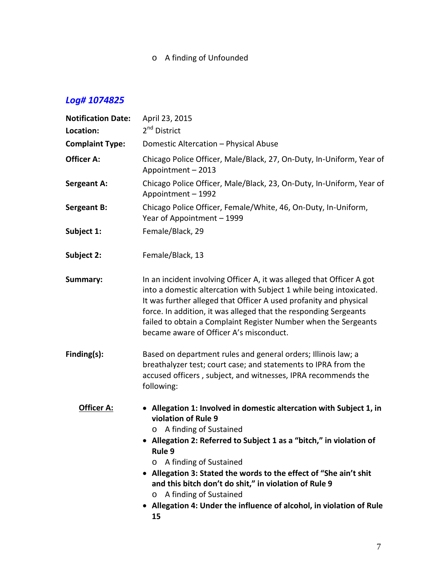o A finding of Unfounded

| <b>Notification Date:</b> | April 23, 2015                                                                                                                                                                                                                                                                                                                                                                                                                                                                   |
|---------------------------|----------------------------------------------------------------------------------------------------------------------------------------------------------------------------------------------------------------------------------------------------------------------------------------------------------------------------------------------------------------------------------------------------------------------------------------------------------------------------------|
| Location:                 | 2 <sup>nd</sup> District                                                                                                                                                                                                                                                                                                                                                                                                                                                         |
| <b>Complaint Type:</b>    | Domestic Altercation - Physical Abuse                                                                                                                                                                                                                                                                                                                                                                                                                                            |
| <b>Officer A:</b>         | Chicago Police Officer, Male/Black, 27, On-Duty, In-Uniform, Year of<br>Appointment - 2013                                                                                                                                                                                                                                                                                                                                                                                       |
| <b>Sergeant A:</b>        | Chicago Police Officer, Male/Black, 23, On-Duty, In-Uniform, Year of<br>Appointment - 1992                                                                                                                                                                                                                                                                                                                                                                                       |
| <b>Sergeant B:</b>        | Chicago Police Officer, Female/White, 46, On-Duty, In-Uniform,<br>Year of Appointment - 1999                                                                                                                                                                                                                                                                                                                                                                                     |
| Subject 1:                | Female/Black, 29                                                                                                                                                                                                                                                                                                                                                                                                                                                                 |
| Subject 2:                | Female/Black, 13                                                                                                                                                                                                                                                                                                                                                                                                                                                                 |
| Summary:                  | In an incident involving Officer A, it was alleged that Officer A got<br>into a domestic altercation with Subject 1 while being intoxicated.<br>It was further alleged that Officer A used profanity and physical<br>force. In addition, it was alleged that the responding Sergeants<br>failed to obtain a Complaint Register Number when the Sergeants<br>became aware of Officer A's misconduct.                                                                              |
| Finding(s):               | Based on department rules and general orders; Illinois law; a<br>breathalyzer test; court case; and statements to IPRA from the<br>accused officers, subject, and witnesses, IPRA recommends the<br>following:                                                                                                                                                                                                                                                                   |
| Officer A:                | • Allegation 1: Involved in domestic altercation with Subject 1, in<br>violation of Rule 9<br>A finding of Sustained<br>O<br>• Allegation 2: Referred to Subject 1 as a "bitch," in violation of<br>Rule 9<br>A finding of Sustained<br>O<br>Allegation 3: Stated the words to the effect of "She ain't shit<br>and this bitch don't do shit," in violation of Rule 9<br>A finding of Sustained<br>O<br>Allegation 4: Under the influence of alcohol, in violation of Rule<br>15 |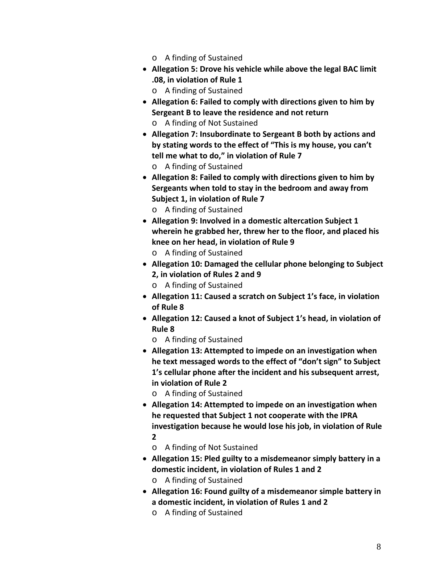- o A finding of Sustained
- **Allegation 5: Drove his vehicle while above the legal BAC limit .08, in violation of Rule 1**
	- o A finding of Sustained
- **Allegation 6: Failed to comply with directions given to him by Sergeant B to leave the residence and not return** o A finding of Not Sustained
- **Allegation 7: Insubordinate to Sergeant B both by actions and by stating words to the effect of "This is my house, you can't tell me what to do," in violation of Rule 7** o A finding of Sustained
- **Allegation 8: Failed to comply with directions given to him by Sergeants when told to stay in the bedroom and away from Subject 1, in violation of Rule 7**
	- o A finding of Sustained
- **Allegation 9: Involved in a domestic altercation Subject 1 wherein he grabbed her, threw her to the floor, and placed his knee on her head, in violation of Rule 9**
	- o A finding of Sustained
- **Allegation 10: Damaged the cellular phone belonging to Subject 2, in violation of Rules 2 and 9**
	- o A finding of Sustained
- **Allegation 11: Caused a scratch on Subject 1's face, in violation of Rule 8**
- **Allegation 12: Caused a knot of Subject 1's head, in violation of Rule 8**
	- o A finding of Sustained
- **Allegation 13: Attempted to impede on an investigation when he text messaged words to the effect of "don't sign" to Subject 1's cellular phone after the incident and his subsequent arrest, in violation of Rule 2**
	- o A finding of Sustained
- **Allegation 14: Attempted to impede on an investigation when he requested that Subject 1 not cooperate with the IPRA investigation because he would lose his job, in violation of Rule 2**
	- o A finding of Not Sustained
- **Allegation 15: Pled guilty to a misdemeanor simply battery in a domestic incident, in violation of Rules 1 and 2** o A finding of Sustained
- **Allegation 16: Found guilty of a misdemeanor simple battery in a domestic incident, in violation of Rules 1 and 2**
	- o A finding of Sustained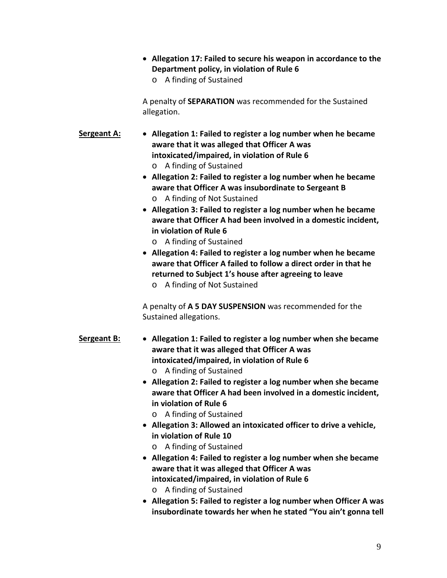**Allegation 17: Failed to secure his weapon in accordance to the Department policy, in violation of Rule 6** o A finding of Sustained

A penalty of **SEPARATION** was recommended for the Sustained allegation.

- **Sergeant A: Allegation 1: Failed to register a log number when he became aware that it was alleged that Officer A was intoxicated/impaired, in violation of Rule 6** o A finding of Sustained
	- **Allegation 2: Failed to register a log number when he became aware that Officer A was insubordinate to Sergeant B**
		- o A finding of Not Sustained
	- **Allegation 3: Failed to register a log number when he became aware that Officer A had been involved in a domestic incident, in violation of Rule 6**
		- o A finding of Sustained
	- **Allegation 4: Failed to register a log number when he became aware that Officer A failed to follow a direct order in that he returned to Subject 1's house after agreeing to leave**

o A finding of Not Sustained

A penalty of **A 5 DAY SUSPENSION** was recommended for the Sustained allegations.

- **Sergeant B: Allegation 1: Failed to register a log number when she became aware that it was alleged that Officer A was intoxicated/impaired, in violation of Rule 6** o A finding of Sustained
	- **Allegation 2: Failed to register a log number when she became aware that Officer A had been involved in a domestic incident, in violation of Rule 6**
		- o A finding of Sustained
	- **Allegation 3: Allowed an intoxicated officer to drive a vehicle, in violation of Rule 10**
		- o A finding of Sustained
	- **Allegation 4: Failed to register a log number when she became aware that it was alleged that Officer A was intoxicated/impaired, in violation of Rule 6** o A finding of Sustained
	- **Allegation 5: Failed to register a log number when Officer A was insubordinate towards her when he stated "You ain't gonna tell**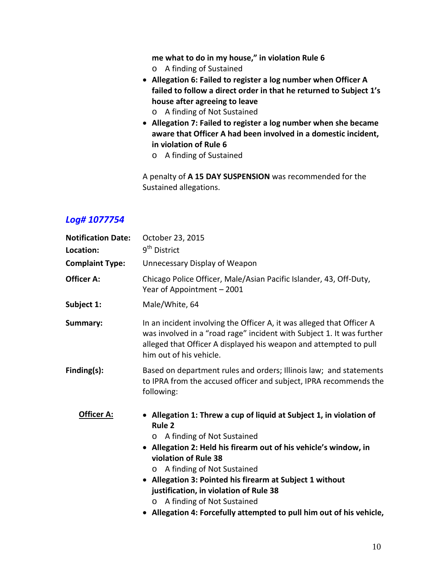**me what to do in my house," in violation Rule 6**

- o A finding of Sustained
- **Allegation 6: Failed to register a log number when Officer A failed to follow a direct order in that he returned to Subject 1's house after agreeing to leave**
	- o A finding of Not Sustained
- **Allegation 7: Failed to register a log number when she became aware that Officer A had been involved in a domestic incident, in violation of Rule 6**
	- o A finding of Sustained

A penalty of **A 15 DAY SUSPENSION** was recommended for the Sustained allegations.

| <b>Notification Date:</b><br>Location: | October 23, 2015<br>9 <sup>th</sup> District                                                                                                                                                                                                                                                                                                                                                                                                                                                  |
|----------------------------------------|-----------------------------------------------------------------------------------------------------------------------------------------------------------------------------------------------------------------------------------------------------------------------------------------------------------------------------------------------------------------------------------------------------------------------------------------------------------------------------------------------|
| <b>Complaint Type:</b>                 | Unnecessary Display of Weapon                                                                                                                                                                                                                                                                                                                                                                                                                                                                 |
| <b>Officer A:</b>                      | Chicago Police Officer, Male/Asian Pacific Islander, 43, Off-Duty,<br>Year of Appointment - 2001                                                                                                                                                                                                                                                                                                                                                                                              |
| Subject 1:                             | Male/White, 64                                                                                                                                                                                                                                                                                                                                                                                                                                                                                |
| Summary:                               | In an incident involving the Officer A, it was alleged that Officer A<br>was involved in a "road rage" incident with Subject 1. It was further<br>alleged that Officer A displayed his weapon and attempted to pull<br>him out of his vehicle.                                                                                                                                                                                                                                                |
| Finding(s):                            | Based on department rules and orders; Illinois law; and statements<br>to IPRA from the accused officer and subject, IPRA recommends the<br>following:                                                                                                                                                                                                                                                                                                                                         |
| <u> Officer A:</u>                     | • Allegation 1: Threw a cup of liquid at Subject 1, in violation of<br>Rule <sub>2</sub><br>A finding of Not Sustained<br>$\circ$<br>• Allegation 2: Held his firearm out of his vehicle's window, in<br>violation of Rule 38<br>A finding of Not Sustained<br>$\circ$<br>• Allegation 3: Pointed his firearm at Subject 1 without<br>justification, in violation of Rule 38<br>A finding of Not Sustained<br>$\circ$<br>• Allegation 4: Forcefully attempted to pull him out of his vehicle, |